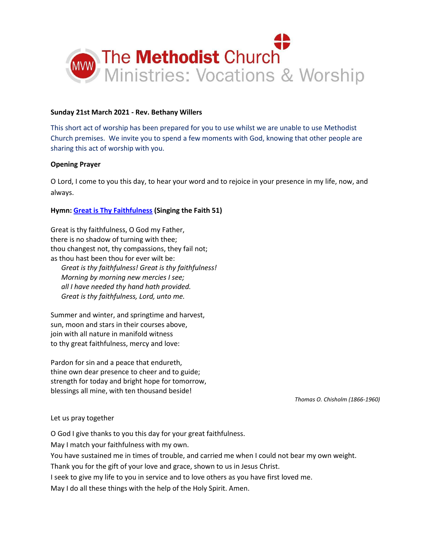

## **Sunday 21st March 2021 - Rev. Bethany Willers**

This short act of worship has been prepared for you to use whilst we are unable to use Methodist Church premises. We invite you to spend a few moments with God, knowing that other people are sharing this act of worship with you.

## **Opening Prayer**

O Lord, I come to you this day, to hear your word and to rejoice in your presence in my life, now, and always.

## **Hymn[: Great is Thy Faithfulness](https://www.youtube.com/watch?v=dTKIqmdfHSk) (Singing the Faith 51)**

Great is thy faithfulness, O God my Father, there is no shadow of turning with thee; thou changest not, thy compassions, they fail not; as thou hast been thou for ever wilt be:

 *Great is thy faithfulness! Great is thy faithfulness! Morning by morning new mercies I see; all I have needed thy hand hath provided. Great is thy faithfulness, Lord, unto me.*

Summer and winter, and springtime and harvest, sun, moon and stars in their courses above, join with all nature in manifold witness to thy great faithfulness, mercy and love:

Pardon for sin and a peace that endureth, thine own dear presence to cheer and to guide; strength for today and bright hope for tomorrow, blessings all mine, with ten thousand beside!

*Thomas O. Chisholm (1866-1960)*

#### Let us pray together

O God I give thanks to you this day for your great faithfulness.

May I match your faithfulness with my own.

You have sustained me in times of trouble, and carried me when I could not bear my own weight.

Thank you for the gift of your love and grace, shown to us in Jesus Christ.

I seek to give my life to you in service and to love others as you have first loved me.

May I do all these things with the help of the Holy Spirit. Amen.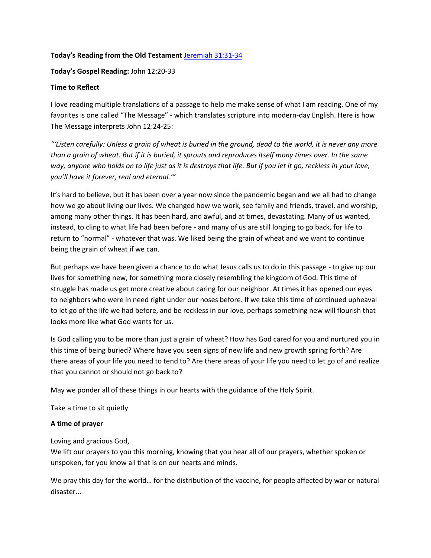# **Today's Reading from the Old Testament** [Jeremiah 31:31-34](https://www.biblegateway.com/passage/?search=Jeremiah+31%3A31-34&version=NIV)

**Today's Gospel Reading:** John 12:20-33

# **Time to Reflect**

I love reading multiple translations of a passage to help me make sense of what I am reading. One of my favorites is one called "The Message" - which translates scripture into modern-day English. Here is how The Message interprets John 12:24-25:

*"'Listen carefully: Unless a grain of wheat is buried in the ground, dead to the world, it is never any more than a grain of wheat. But if it is buried, it sprouts and reproduces itself many times over. In the same way, anyone who holds on to life just as it is destroys that life. But if you let it go, reckless in your love, you'll have it forever, real and eternal.'"* 

It's hard to believe, but it has been over a year now since the pandemic began and we all had to change how we go about living our lives. We changed how we work, see family and friends, travel, and worship, among many other things. It has been hard, and awful, and at times, devastating. Many of us wanted, instead, to cling to what life had been before - and many of us are still longing to go back, for life to return to "normal" - whatever that was. We liked being the grain of wheat and we want to continue being the grain of wheat if we can.

But perhaps we have been given a chance to do what Jesus calls us to do in this passage - to give up our lives for something new, for something more closely resembling the kingdom of God. This time of struggle has made us get more creative about caring for our neighbor. At times it has opened our eyes to neighbors who were in need right under our noses before. If we take this time of continued upheaval to let go of the life we had before, and be reckless in our love, perhaps something new will flourish that looks more like what God wants for us.

Is God calling you to be more than just a grain of wheat? How has God cared for you and nurtured you in this time of being buried? Where have you seen signs of new life and new growth spring forth? Are there areas of your life you need to tend to? Are there areas of your life you need to let go of and realize that you cannot or should not go back to?

May we ponder all of these things in our hearts with the guidance of the Holy Spirit.

Take a time to sit quietly

# **A time of prayer**

Loving and gracious God,

We lift our prayers to you this morning, knowing that you hear all of our prayers, whether spoken or unspoken, for you know all that is on our hearts and minds.

We pray this day for the world… for the distribution of the vaccine, for people affected by war or natural disaster...